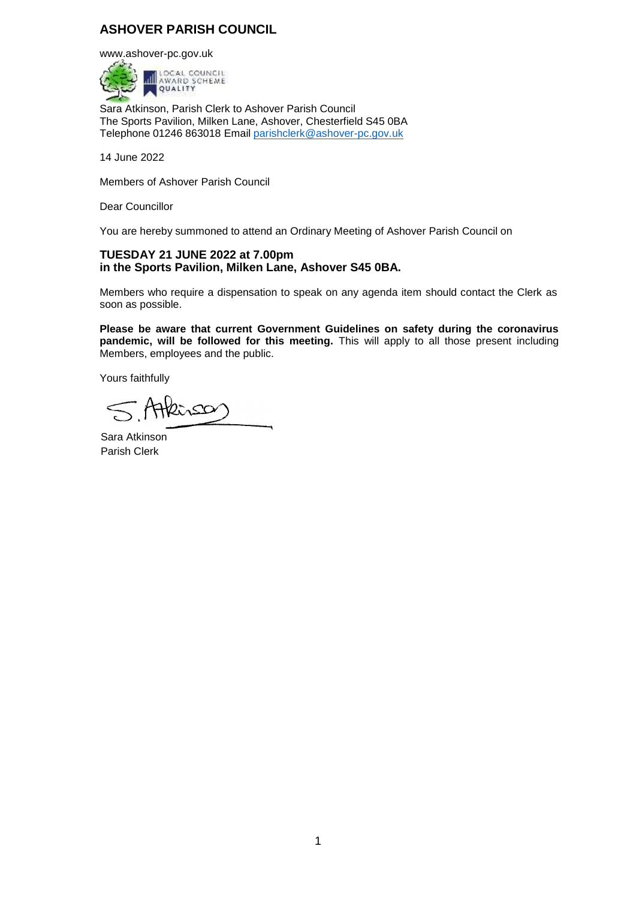# **ASHOVER PARISH COUNCIL**

[www.ashover-pc.gov.uk](http://www.ashover-pc.gov.uk/)



Sara Atkinson, Parish Clerk to Ashover Parish Council The Sports Pavilion, Milken Lane, Ashover, Chesterfield S45 0BA Telephone 01246 863018 Email [parishclerk@ashover-pc.gov.uk](mailto:parishclerk@ashover-pc.gov.uk)

14 June 2022

Members of Ashover Parish Council

Dear Councillor

You are hereby summoned to attend an Ordinary Meeting of Ashover Parish Council on

### **TUESDAY 21 JUNE 2022 at 7.00pm in the Sports Pavilion, Milken Lane, Ashover S45 0BA.**

Members who require a dispensation to speak on any agenda item should contact the Clerk as soon as possible.

**Please be aware that current Government Guidelines on safety during the coronavirus pandemic, will be followed for this meeting.** This will apply to all those present including Members, employees and the public.

Yours faithfully

Atteinsor  $\leq$ 

Sara Atkinson Parish Clerk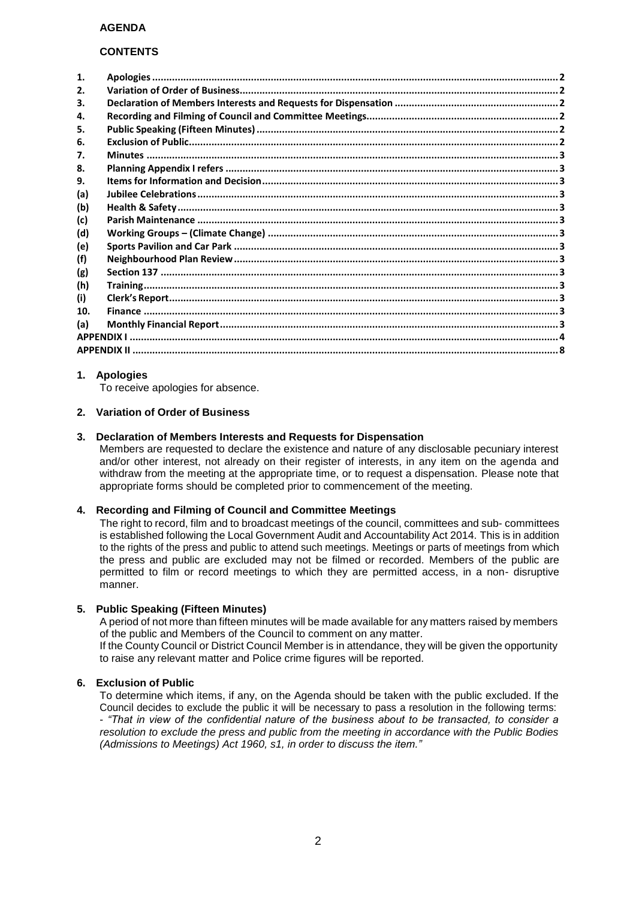#### **CONTENTS**

| 1.  |  |
|-----|--|
| 2.  |  |
| 3.  |  |
| 4.  |  |
| 5.  |  |
| 6.  |  |
| 7.  |  |
| 8.  |  |
| 9.  |  |
| (a) |  |
| (b) |  |
| (c) |  |
| (d) |  |
| (e) |  |
| (f) |  |
| (g) |  |
| (h) |  |
| (i) |  |
| 10. |  |
| (a) |  |
|     |  |
|     |  |

### <span id="page-1-0"></span>**1. Apologies**

To receive apologies for absence.

#### <span id="page-1-1"></span>**2. Variation of Order of Business**

#### <span id="page-1-2"></span>**3. Declaration of Members Interests and Requests for Dispensation**

Members are requested to declare the existence and nature of any disclosable pecuniary interest and/or other interest, not already on their register of interests, in any item on the agenda and withdraw from the meeting at the appropriate time, or to request a dispensation. Please note that appropriate forms should be completed prior to commencement of the meeting.

### <span id="page-1-3"></span>**4. Recording and Filming of Council and Committee Meetings**

The right to record, film and to broadcast meetings of the council, committees and sub- committees is established following the Local Government Audit and Accountability Act 2014. This is in addition to the rights of the press and public to attend such meetings. Meetings or parts of meetings from which the press and public are excluded may not be filmed or recorded. Members of the public are permitted to film or record meetings to which they are permitted access, in a non- disruptive manner.

#### <span id="page-1-4"></span>**5. Public Speaking (Fifteen Minutes)**

A period of not more than fifteen minutes will be made available for any matters raised by members of the public and Members of the Council to comment on any matter.

If the County Council or District Council Member is in attendance, they will be given the opportunity to raise any relevant matter and Police crime figures will be reported.

### <span id="page-1-5"></span>**6. Exclusion of Public**

To determine which items, if any, on the Agenda should be taken with the public excluded. If the Council decides to exclude the public it will be necessary to pass a resolution in the following terms: - *"That in view of the confidential nature of the business about to be transacted, to consider a resolution to exclude the press and public from the meeting in accordance with the Public Bodies (Admissions to Meetings) Act 1960, s1, in order to discuss the item."*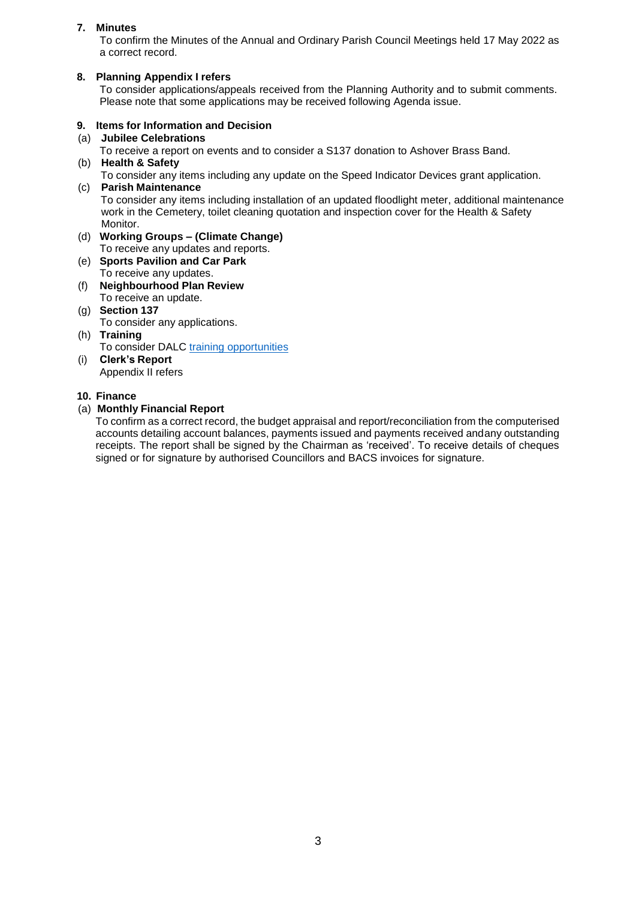## <span id="page-2-0"></span>**7. Minutes**

To confirm the Minutes of the Annual and Ordinary Parish Council Meetings held 17 May 2022 as a correct record.

## <span id="page-2-1"></span>**8. Planning Appendix I refers**

To consider applications/appeals received from the Planning Authority and to submit comments. Please note that some applications may be received following Agenda issue.

## <span id="page-2-2"></span>**9. Items for Information and Decision**

<span id="page-2-3"></span>(a) **Jubilee Celebrations**

To receive a report on events and to consider a S137 donation to Ashover Brass Band.

<span id="page-2-4"></span>(b) **Health & Safety**

<span id="page-2-5"></span>To consider any items including any update on the Speed Indicator Devices grant application. (c) **Parish Maintenance**

To consider any items including installation of an updated floodlight meter, additional maintenance work in the Cemetery, toilet cleaning quotation and inspection cover for the Health & Safety Monitor.

- <span id="page-2-6"></span>(d) **Working Groups – (Climate Change)** To receive any updates and reports.
- <span id="page-2-7"></span>(e) **Sports Pavilion and Car Park** To receive any updates.
- <span id="page-2-8"></span>(f) **Neighbourhood Plan Review** To receive an update.
- <span id="page-2-9"></span>(g) **Section 137** To consider any applications.
- <span id="page-2-10"></span>(h) **Training** To consider DALC [training opportunities](https://www.derbyshirealc.gov.uk/list-of-courses.html)
- <span id="page-2-11"></span>(i) **Clerk's Report** Appendix II refers

### <span id="page-2-12"></span>**10. Finance**

## <span id="page-2-13"></span>(a) **Monthly Financial Report**

To confirm as a correct record, the budget appraisal and report/reconciliation from the computerised accounts detailing account balances, payments issued and payments received andany outstanding receipts. The report shall be signed by the Chairman as 'received'. To receive details of cheques signed or for signature by authorised Councillors and BACS invoices for signature.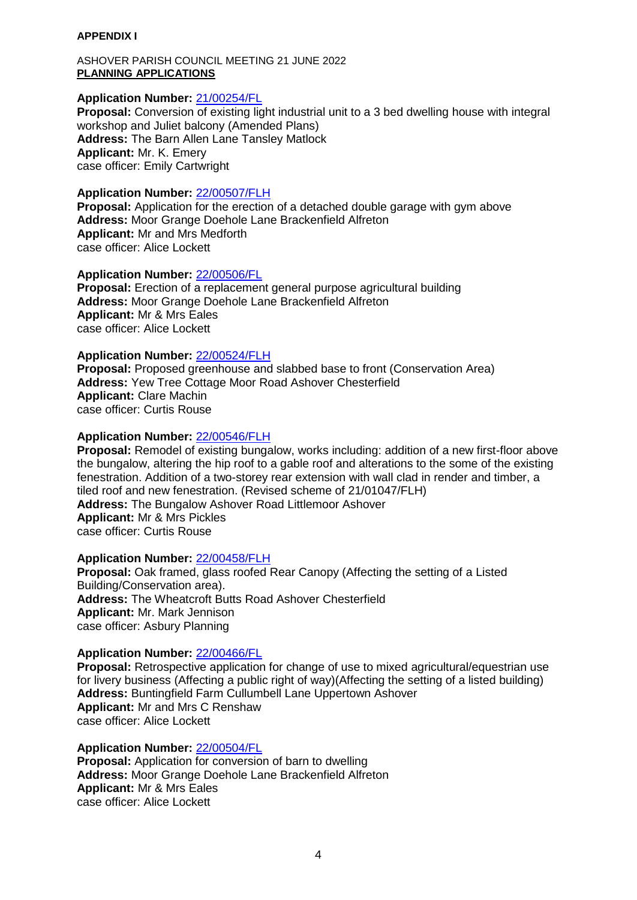### <span id="page-3-0"></span>**APPENDIX I**

ASHOVER PARISH COUNCIL MEETING 21 JUNE 2022 **PLANNING APPLICATIONS**

### **Application Number:** [21/00254/FL](https://planapps-online.ne-derbyshire.gov.uk/online-applications/applicationDetails.do?activeTab=documents&keyVal=QP8XU3LIHIP00)

**Proposal:** Conversion of existing light industrial unit to a 3 bed dwelling house with integral workshop and Juliet balcony (Amended Plans) **Address:** The Barn Allen Lane Tansley Matlock **Applicant:** Mr. K. Emery case officer: Emily Cartwright

### **Application Number:** [22/00507/FLH](https://planapps-online.ne-derbyshire.gov.uk/online-applications/applicationDetails.do?activeTab=documents&keyVal=RBT7HVLIM8300)

**Proposal:** Application for the erection of a detached double garage with gym above **Address:** Moor Grange Doehole Lane Brackenfield Alfreton **Applicant:** Mr and Mrs Medforth case officer: Alice Lockett

## **Application Number:** [22/00506/FL](https://planapps-online.ne-derbyshire.gov.uk/online-applications/applicationDetails.do?activeTab=documents&keyVal=RBT7HHLIM8100)

**Proposal:** Erection of a replacement general purpose agricultural building **Address:** Moor Grange Doehole Lane Brackenfield Alfreton **Applicant:** Mr & Mrs Eales case officer: Alice Lockett

## **Application Number:** [22/00524/FLH](https://planapps-online.ne-derbyshire.gov.uk/online-applications/applicationDetails.do?activeTab=documents&keyVal=RC4BHLLIMAF00)

**Proposal:** Proposed greenhouse and slabbed base to front (Conservation Area) **Address:** Yew Tree Cottage Moor Road Ashover Chesterfield **Applicant:** Clare Machin case officer: Curtis Rouse

### **Application Number:** [22/00546/FLH](https://planapps-online.ne-derbyshire.gov.uk/online-applications/applicationDetails.do?activeTab=documents&keyVal=RCFFGZLIMCR00)

**Proposal:** Remodel of existing bungalow, works including: addition of a new first-floor above the bungalow, altering the hip roof to a gable roof and alterations to the some of the existing fenestration. Addition of a two-storey rear extension with wall clad in render and timber, a tiled roof and new fenestration. (Revised scheme of 21/01047/FLH) **Address:** The Bungalow Ashover Road Littlemoor Ashover **Applicant:** Mr & Mrs Pickles case officer: Curtis Rouse

### **Application Number:** [22/00458/FLH](https://planapps-online.ne-derbyshire.gov.uk/online-applications/applicationDetails.do?activeTab=documents&keyVal=RB3ORWLI06400)

**Proposal:** Oak framed, glass roofed Rear Canopy (Affecting the setting of a Listed Building/Conservation area). **Address:** The Wheatcroft Butts Road Ashover Chesterfield **Applicant:** Mr. Mark Jennison case officer: Asbury Planning

## **Application Number:** [22/00466/FL](https://planapps-online.ne-derbyshire.gov.uk/online-applications/applicationDetails.do?activeTab=documents&keyVal=RBB5OFLIM4C00)

**Proposal:** Retrospective application for change of use to mixed agricultural/equestrian use for livery business (Affecting a public right of way)(Affecting the setting of a listed building) **Address:** Buntingfield Farm Cullumbell Lane Uppertown Ashover **Applicant:** Mr and Mrs C Renshaw case officer: Alice Lockett

### **Application Number:** [22/00504/FL](https://planapps-online.ne-derbyshire.gov.uk/online-applications/applicationDetails.do?activeTab=documents&keyVal=RBT7GSLIM7X00)

**Proposal:** Application for conversion of barn to dwelling **Address:** Moor Grange Doehole Lane Brackenfield Alfreton **Applicant:** Mr & Mrs Eales case officer: Alice Lockett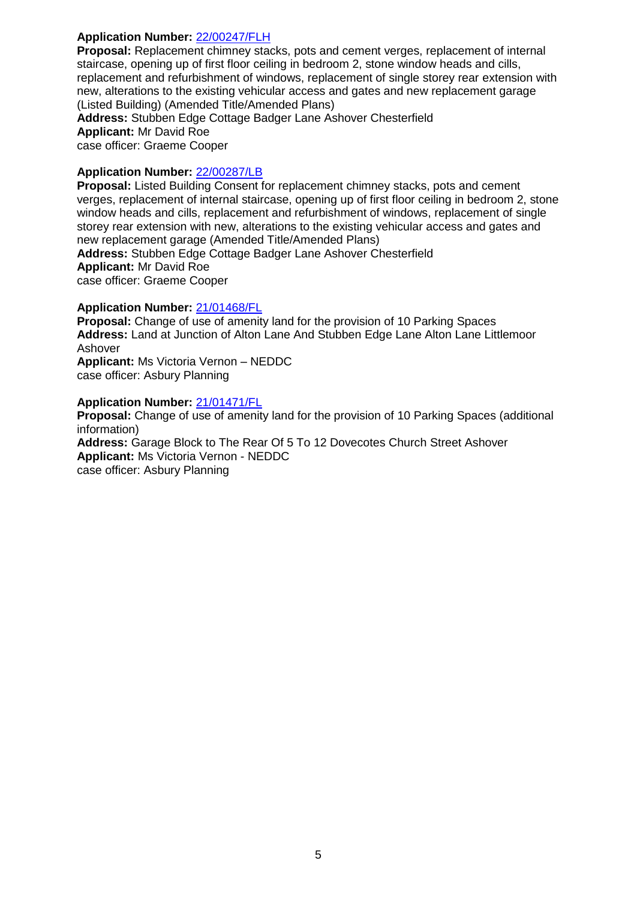## **Application Number:** [22/00247/FLH](https://planapps-online.ne-derbyshire.gov.uk/online-applications/applicationDetails.do?activeTab=documents&keyVal=R8HJA3LILJ800)

**Proposal:** Replacement chimney stacks, pots and cement verges, replacement of internal staircase, opening up of first floor ceiling in bedroom 2, stone window heads and cills, replacement and refurbishment of windows, replacement of single storey rear extension with new, alterations to the existing vehicular access and gates and new replacement garage (Listed Building) (Amended Title/Amended Plans)

**Address:** Stubben Edge Cottage Badger Lane Ashover Chesterfield **Applicant:** Mr David Roe case officer: Graeme Cooper

## **Application Number:** [22/00287/LB](https://planapps-online.ne-derbyshire.gov.uk/online-applications/applicationDetails.do?activeTab=documents&keyVal=R8W6BILI06400)

**Proposal:** Listed Building Consent for replacement chimney stacks, pots and cement verges, replacement of internal staircase, opening up of first floor ceiling in bedroom 2, stone window heads and cills, replacement and refurbishment of windows, replacement of single storey rear extension with new, alterations to the existing vehicular access and gates and new replacement garage (Amended Title/Amended Plans)

**Address:** Stubben Edge Cottage Badger Lane Ashover Chesterfield **Applicant:** Mr David Roe case officer: Graeme Cooper

## **Application Number:** [21/01468/FL](https://planapps-online.ne-derbyshire.gov.uk/online-applications/applicationDetails.do?activeTab=documents&keyVal=R47M2LLI06K00)

**Proposal:** Change of use of amenity land for the provision of 10 Parking Spaces **Address:** Land at Junction of Alton Lane And Stubben Edge Lane Alton Lane Littlemoor Ashover **Applicant:** Ms Victoria Vernon – NEDDC case officer: Asbury Planning

## **Application Number:** [21/01471/FL](https://planapps-online.ne-derbyshire.gov.uk/online-applications/applicationDetails.do?activeTab=documents&keyVal=R47NO2LI06K00)

**Proposal:** Change of use of amenity land for the provision of 10 Parking Spaces (additional information) **Address:** Garage Block to The Rear Of 5 To 12 Dovecotes Church Street Ashover **Applicant:** Ms Victoria Vernon - NEDDC case officer: Asbury Planning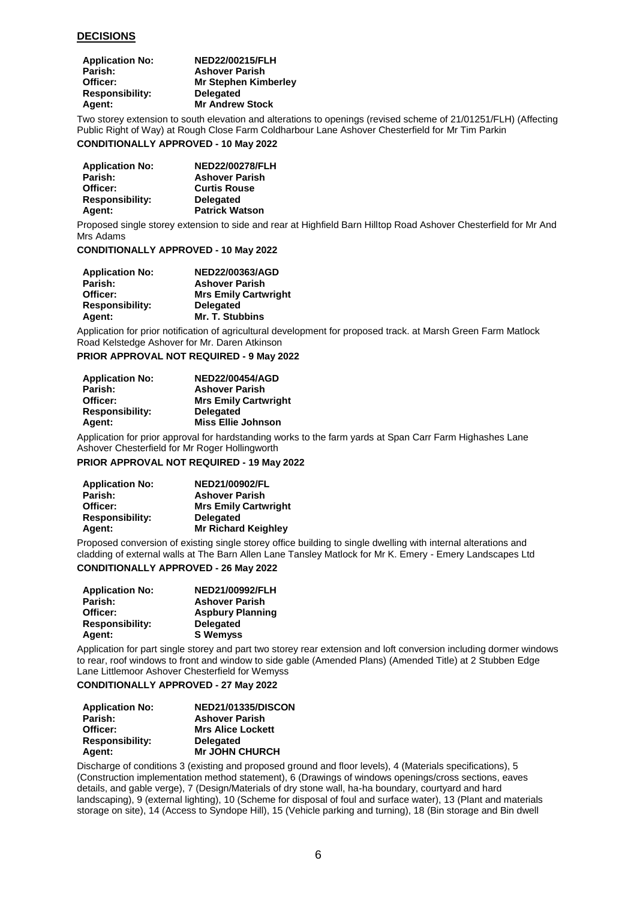#### **DECISIONS**

| <b>Application No:</b> | NED22/00215/FLH             |
|------------------------|-----------------------------|
| Parish:                | <b>Ashover Parish</b>       |
| Officer:               | <b>Mr Stephen Kimberley</b> |
| <b>Responsibility:</b> | <b>Delegated</b>            |
| Agent:                 | <b>Mr Andrew Stock</b>      |

Two storey extension to south elevation and alterations to openings (revised scheme of 21/01251/FLH) (Affecting Public Right of Way) at Rough Close Farm Coldharbour Lane Ashover Chesterfield for Mr Tim Parkin

#### **CONDITIONALLY APPROVED - 10 May 2022**

| <b>Application No:</b> | <b>NED22/00278/FLH</b> |
|------------------------|------------------------|
| Parish:                | <b>Ashover Parish</b>  |
| Officer:               | <b>Curtis Rouse</b>    |
| <b>Responsibility:</b> | <b>Delegated</b>       |
| <b>Agent:</b>          | <b>Patrick Watson</b>  |

Proposed single storey extension to side and rear at Highfield Barn Hilltop Road Ashover Chesterfield for Mr And Mrs Adams

#### **CONDITIONALLY APPROVED - 10 May 2022**

| <b>Application No:</b> | NED22/00363/AGD             |
|------------------------|-----------------------------|
| Parish:                | <b>Ashover Parish</b>       |
| Officer:               | <b>Mrs Emily Cartwright</b> |
| <b>Responsibility:</b> | <b>Delegated</b>            |
| Agent:                 | <b>Mr. T. Stubbins</b>      |

Application for prior notification of agricultural development for proposed track. at Marsh Green Farm Matlock Road Kelstedge Ashover for Mr. Daren Atkinson

#### **PRIOR APPROVAL NOT REQUIRED - 9 May 2022**

| <b>Application No:</b> | <b>NED22/00454/AGD</b>      |
|------------------------|-----------------------------|
| Parish:                | <b>Ashover Parish</b>       |
| Officer:               | <b>Mrs Emily Cartwright</b> |
| <b>Responsibility:</b> | <b>Delegated</b>            |
| Agent:                 | <b>Miss Ellie Johnson</b>   |

Application for prior approval for hardstanding works to the farm yards at Span Carr Farm Highashes Lane Ashover Chesterfield for Mr Roger Hollingworth

**PRIOR APPROVAL NOT REQUIRED - 19 May 2022** 

| <b>Application No:</b> | NED21/00902/FL              |
|------------------------|-----------------------------|
| Parish:                | <b>Ashover Parish</b>       |
| Officer:               | <b>Mrs Emily Cartwright</b> |
| <b>Responsibility:</b> | <b>Delegated</b>            |
| Agent:                 | <b>Mr Richard Keighley</b>  |

Proposed conversion of existing single storey office building to single dwelling with internal alterations and cladding of external walls at The Barn Allen Lane Tansley Matlock for Mr K. Emery - Emery Landscapes Ltd

## **CONDITIONALLY APPROVED - 26 May 2022**

| <b>Application No:</b> | NED21/00992/FLH         |
|------------------------|-------------------------|
| Parish:                | <b>Ashover Parish</b>   |
| Officer:               | <b>Aspbury Planning</b> |
| <b>Responsibility:</b> | <b>Delegated</b>        |
| Agent:                 | <b>S</b> Wemyss         |

Application for part single storey and part two storey rear extension and loft conversion including dormer windows to rear, roof windows to front and window to side gable (Amended Plans) (Amended Title) at 2 Stubben Edge Lane Littlemoor Ashover Chesterfield for Wemyss

### **CONDITIONALLY APPROVED - 27 May 2022**

| <b>Application No:</b> | <b>NED21/01335/DISCON</b> |
|------------------------|---------------------------|
| Parish:                | <b>Ashover Parish</b>     |
| Officer:               | <b>Mrs Alice Lockett</b>  |
| <b>Responsibility:</b> | <b>Delegated</b>          |
| Agent:                 | <b>Mr JOHN CHURCH</b>     |

Discharge of conditions 3 (existing and proposed ground and floor levels), 4 (Materials specifications), 5 (Construction implementation method statement), 6 (Drawings of windows openings/cross sections, eaves details, and gable verge), 7 (Design/Materials of dry stone wall, ha-ha boundary, courtyard and hard landscaping), 9 (external lighting), 10 (Scheme for disposal of foul and surface water), 13 (Plant and materials storage on site), 14 (Access to Syndope Hill), 15 (Vehicle parking and turning), 18 (Bin storage and Bin dwell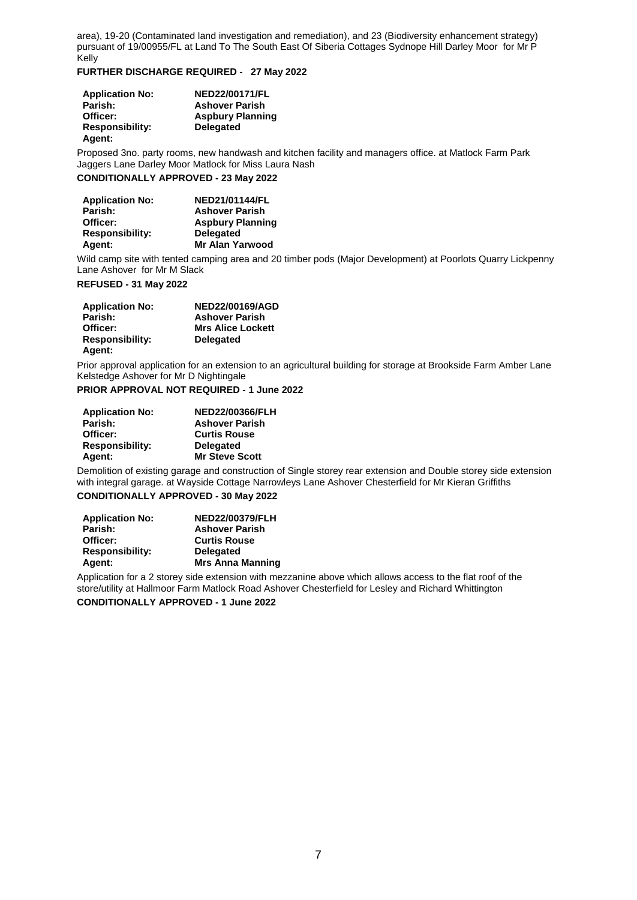area), 19-20 (Contaminated land investigation and remediation), and 23 (Biodiversity enhancement strategy) pursuant of 19/00955/FL at Land To The South East Of Siberia Cottages Sydnope Hill Darley Moor for Mr P Kelly

#### **FURTHER DISCHARGE REQUIRED - 27 May 2022**

| <b>Application No:</b> | <b>NED22/00171/FL</b>   |
|------------------------|-------------------------|
| Parish:                | <b>Ashover Parish</b>   |
| Officer:               | <b>Aspbury Planning</b> |
| <b>Responsibility:</b> | <b>Delegated</b>        |
| Agent:                 |                         |

Proposed 3no. party rooms, new handwash and kitchen facility and managers office. at Matlock Farm Park Jaggers Lane Darley Moor Matlock for Miss Laura Nash

### **CONDITIONALLY APPROVED - 23 May 2022**

| <b>Application No:</b> | <b>NED21/01144/FL</b>   |
|------------------------|-------------------------|
| Parish:                | <b>Ashover Parish</b>   |
| Officer:               | <b>Aspbury Planning</b> |
| <b>Responsibility:</b> | <b>Delegated</b>        |
| Agent:                 | <b>Mr Alan Yarwood</b>  |

Wild camp site with tented camping area and 20 timber pods (Major Development) at Poorlots Quarry Lickpenny Lane Ashover for Mr M Slack

#### **REFUSED - 31 May 2022**

| <b>Application No:</b> | <b>NED22/00169/AGD</b>   |
|------------------------|--------------------------|
| Parish:                | <b>Ashover Parish</b>    |
| Officer:               | <b>Mrs Alice Lockett</b> |
| <b>Responsibility:</b> | <b>Delegated</b>         |
| <b>Agent:</b>          |                          |

Prior approval application for an extension to an agricultural building for storage at Brookside Farm Amber Lane Kelstedge Ashover for Mr D Nightingale

#### **PRIOR APPROVAL NOT REQUIRED - 1 June 2022**

| <b>Application No:</b> | NED22/00366/FLH       |
|------------------------|-----------------------|
| Parish:                | <b>Ashover Parish</b> |
| Officer:               | <b>Curtis Rouse</b>   |
| <b>Responsibility:</b> | <b>Delegated</b>      |
| Agent:                 | <b>Mr Steve Scott</b> |

Demolition of existing garage and construction of Single storey rear extension and Double storey side extension with integral garage. at Wayside Cottage Narrowleys Lane Ashover Chesterfield for Mr Kieran Griffiths

### **CONDITIONALLY APPROVED - 30 May 2022**

| <b>Application No:</b> | <b>NED22/00379/FLH</b>  |
|------------------------|-------------------------|
| Parish:                | <b>Ashover Parish</b>   |
| Officer:               | <b>Curtis Rouse</b>     |
| <b>Responsibility:</b> | <b>Delegated</b>        |
| Agent:                 | <b>Mrs Anna Manning</b> |

Application for a 2 storey side extension with mezzanine above which allows access to the flat roof of the store/utility at Hallmoor Farm Matlock Road Ashover Chesterfield for Lesley and Richard Whittington

**CONDITIONALLY APPROVED - 1 June 2022**